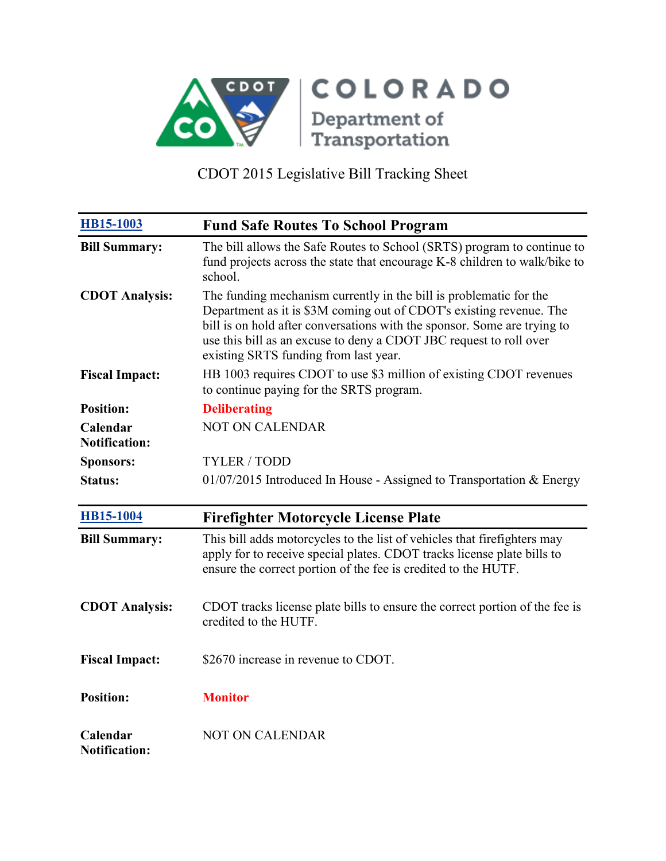

| <b>HB15-1003</b>                 | <b>Fund Safe Routes To School Program</b>                                                                                                                                                                                                                                                                                            |
|----------------------------------|--------------------------------------------------------------------------------------------------------------------------------------------------------------------------------------------------------------------------------------------------------------------------------------------------------------------------------------|
| <b>Bill Summary:</b>             | The bill allows the Safe Routes to School (SRTS) program to continue to<br>fund projects across the state that encourage K-8 children to walk/bike to<br>school.                                                                                                                                                                     |
| <b>CDOT Analysis:</b>            | The funding mechanism currently in the bill is problematic for the<br>Department as it is \$3M coming out of CDOT's existing revenue. The<br>bill is on hold after conversations with the sponsor. Some are trying to<br>use this bill as an excuse to deny a CDOT JBC request to roll over<br>existing SRTS funding from last year. |
| <b>Fiscal Impact:</b>            | HB 1003 requires CDOT to use \$3 million of existing CDOT revenues<br>to continue paying for the SRTS program.                                                                                                                                                                                                                       |
| <b>Position:</b>                 | <b>Deliberating</b>                                                                                                                                                                                                                                                                                                                  |
| Calendar<br><b>Notification:</b> | <b>NOT ON CALENDAR</b>                                                                                                                                                                                                                                                                                                               |
| <b>Sponsors:</b>                 | <b>TYLER / TODD</b>                                                                                                                                                                                                                                                                                                                  |
| <b>Status:</b>                   | $01/07/2015$ Introduced In House - Assigned to Transportation & Energy                                                                                                                                                                                                                                                               |
| <b>HB15-1004</b>                 | <b>Firefighter Motorcycle License Plate</b>                                                                                                                                                                                                                                                                                          |
| <b>Bill Summary:</b>             | This bill adds motorcycles to the list of vehicles that firefighters may<br>apply for to receive special plates. CDOT tracks license plate bills to<br>ensure the correct portion of the fee is credited to the HUTF.                                                                                                                |
| <b>CDOT Analysis:</b>            | CDOT tracks license plate bills to ensure the correct portion of the fee is<br>credited to the HUTF.                                                                                                                                                                                                                                 |
| <b>Fiscal Impact:</b>            | \$2670 increase in revenue to CDOT.                                                                                                                                                                                                                                                                                                  |
| <b>Position:</b>                 | <b>Monitor</b>                                                                                                                                                                                                                                                                                                                       |
| Calendar<br><b>Notification:</b> | <b>NOT ON CALENDAR</b>                                                                                                                                                                                                                                                                                                               |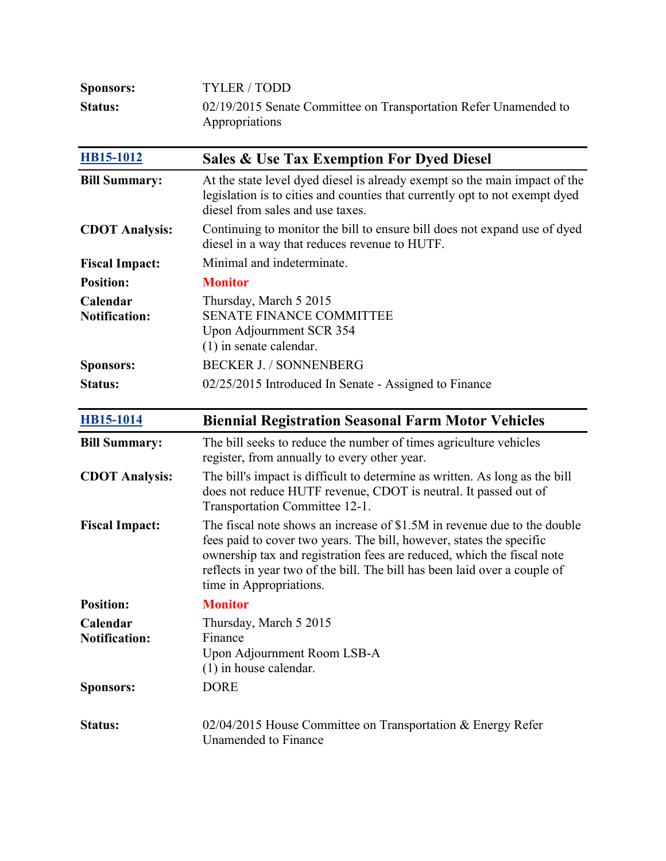| <b>Sponsors:</b> | TYLER/TODD                                                       |
|------------------|------------------------------------------------------------------|
| <b>Status:</b>   | 02/19/2015 Senate Committee on Transportation Refer Unamended to |
|                  | Appropriations                                                   |

| HB15-1012                        | <b>Sales &amp; Use Tax Exemption For Dyed Diesel</b>                                                                                                                                                                                                                                                                               |
|----------------------------------|------------------------------------------------------------------------------------------------------------------------------------------------------------------------------------------------------------------------------------------------------------------------------------------------------------------------------------|
| <b>Bill Summary:</b>             | At the state level dyed diesel is already exempt so the main impact of the<br>legislation is to cities and counties that currently opt to not exempt dyed<br>diesel from sales and use taxes.                                                                                                                                      |
| <b>CDOT Analysis:</b>            | Continuing to monitor the bill to ensure bill does not expand use of dyed<br>diesel in a way that reduces revenue to HUTF.                                                                                                                                                                                                         |
| <b>Fiscal Impact:</b>            | Minimal and indeterminate.                                                                                                                                                                                                                                                                                                         |
| <b>Position:</b>                 | <b>Monitor</b>                                                                                                                                                                                                                                                                                                                     |
| Calendar<br><b>Notification:</b> | Thursday, March 5 2015<br><b>SENATE FINANCE COMMITTEE</b><br>Upon Adjournment SCR 354<br>$(1)$ in senate calendar.                                                                                                                                                                                                                 |
| <b>Sponsors:</b>                 | <b>BECKER J. / SONNENBERG</b>                                                                                                                                                                                                                                                                                                      |
| <b>Status:</b>                   | 02/25/2015 Introduced In Senate - Assigned to Finance                                                                                                                                                                                                                                                                              |
| <b>HB15-1014</b>                 | <b>Biennial Registration Seasonal Farm Motor Vehicles</b>                                                                                                                                                                                                                                                                          |
| <b>Bill Summary:</b>             | The bill seeks to reduce the number of times agriculture vehicles<br>register, from annually to every other year.                                                                                                                                                                                                                  |
| <b>CDOT Analysis:</b>            | The bill's impact is difficult to determine as written. As long as the bill<br>does not reduce HUTF revenue, CDOT is neutral. It passed out of<br>Transportation Committee 12-1.                                                                                                                                                   |
| <b>Fiscal Impact:</b>            | The fiscal note shows an increase of \$1.5M in revenue due to the double<br>fees paid to cover two years. The bill, however, states the specific<br>ownership tax and registration fees are reduced, which the fiscal note<br>reflects in year two of the bill. The bill has been laid over a couple of<br>time in Appropriations. |
| <b>Position:</b>                 | <b>Monitor</b>                                                                                                                                                                                                                                                                                                                     |
| Calendar<br><b>Notification:</b> | Thursday, March 5 2015<br>Finance<br>Upon Adjournment Room LSB-A<br>$(1)$ in house calendar.                                                                                                                                                                                                                                       |
| <b>Sponsors:</b>                 | <b>DORE</b>                                                                                                                                                                                                                                                                                                                        |
| Status:                          | 02/04/2015 House Committee on Transportation & Energy Refer<br>Unamended to Finance                                                                                                                                                                                                                                                |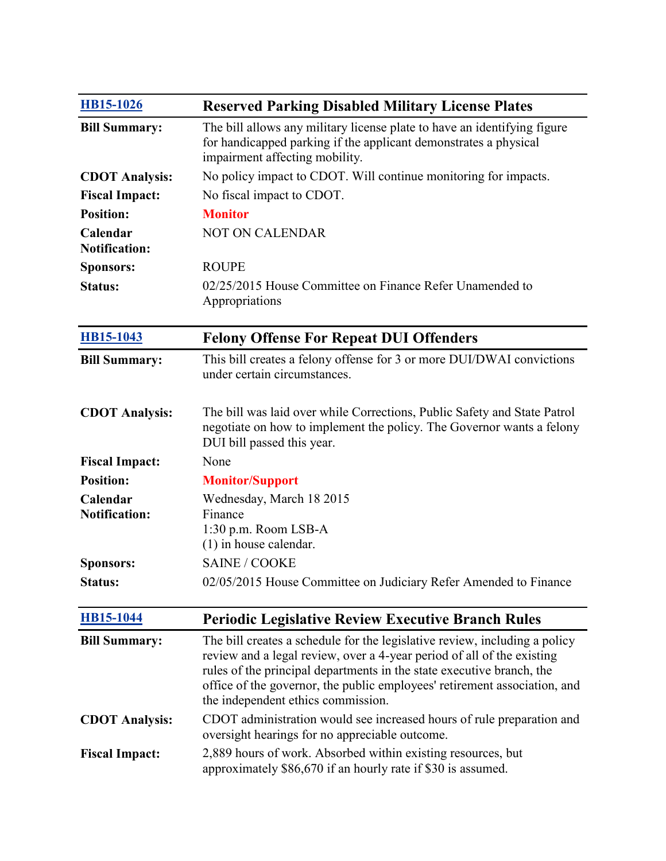| HB15-1026                        | <b>Reserved Parking Disabled Military License Plates</b>                                                                                                                                                                                                                                                                                         |
|----------------------------------|--------------------------------------------------------------------------------------------------------------------------------------------------------------------------------------------------------------------------------------------------------------------------------------------------------------------------------------------------|
| <b>Bill Summary:</b>             | The bill allows any military license plate to have an identifying figure<br>for handicapped parking if the applicant demonstrates a physical<br>impairment affecting mobility.                                                                                                                                                                   |
| <b>CDOT</b> Analysis:            | No policy impact to CDOT. Will continue monitoring for impacts.                                                                                                                                                                                                                                                                                  |
| <b>Fiscal Impact:</b>            | No fiscal impact to CDOT.                                                                                                                                                                                                                                                                                                                        |
| <b>Position:</b>                 | <b>Monitor</b>                                                                                                                                                                                                                                                                                                                                   |
| Calendar<br><b>Notification:</b> | <b>NOT ON CALENDAR</b>                                                                                                                                                                                                                                                                                                                           |
| <b>Sponsors:</b>                 | <b>ROUPE</b>                                                                                                                                                                                                                                                                                                                                     |
| <b>Status:</b>                   | 02/25/2015 House Committee on Finance Refer Unamended to<br>Appropriations                                                                                                                                                                                                                                                                       |
| HB15-1043                        | <b>Felony Offense For Repeat DUI Offenders</b>                                                                                                                                                                                                                                                                                                   |
| <b>Bill Summary:</b>             | This bill creates a felony offense for 3 or more DUI/DWAI convictions<br>under certain circumstances.                                                                                                                                                                                                                                            |
| <b>CDOT</b> Analysis:            | The bill was laid over while Corrections, Public Safety and State Patrol<br>negotiate on how to implement the policy. The Governor wants a felony<br>DUI bill passed this year.                                                                                                                                                                  |
| <b>Fiscal Impact:</b>            | None                                                                                                                                                                                                                                                                                                                                             |
| <b>Position:</b>                 | <b>Monitor/Support</b>                                                                                                                                                                                                                                                                                                                           |
| Calendar                         | Wednesday, March 18 2015                                                                                                                                                                                                                                                                                                                         |
| <b>Notification:</b>             | Finance<br>1:30 p.m. Room LSB-A<br>$(1)$ in house calendar.                                                                                                                                                                                                                                                                                      |
| <b>Sponsors:</b>                 | <b>SAINE / COOKE</b>                                                                                                                                                                                                                                                                                                                             |
| Status:                          | 02/05/2015 House Committee on Judiciary Refer Amended to Finance                                                                                                                                                                                                                                                                                 |
| <b>HB15-1044</b>                 | <b>Periodic Legislative Review Executive Branch Rules</b>                                                                                                                                                                                                                                                                                        |
| <b>Bill Summary:</b>             | The bill creates a schedule for the legislative review, including a policy<br>review and a legal review, over a 4-year period of all of the existing<br>rules of the principal departments in the state executive branch, the<br>office of the governor, the public employees' retirement association, and<br>the independent ethics commission. |
| <b>CDOT Analysis:</b>            | CDOT administration would see increased hours of rule preparation and<br>oversight hearings for no appreciable outcome.                                                                                                                                                                                                                          |
| <b>Fiscal Impact:</b>            | 2,889 hours of work. Absorbed within existing resources, but<br>approximately \$86,670 if an hourly rate if \$30 is assumed.                                                                                                                                                                                                                     |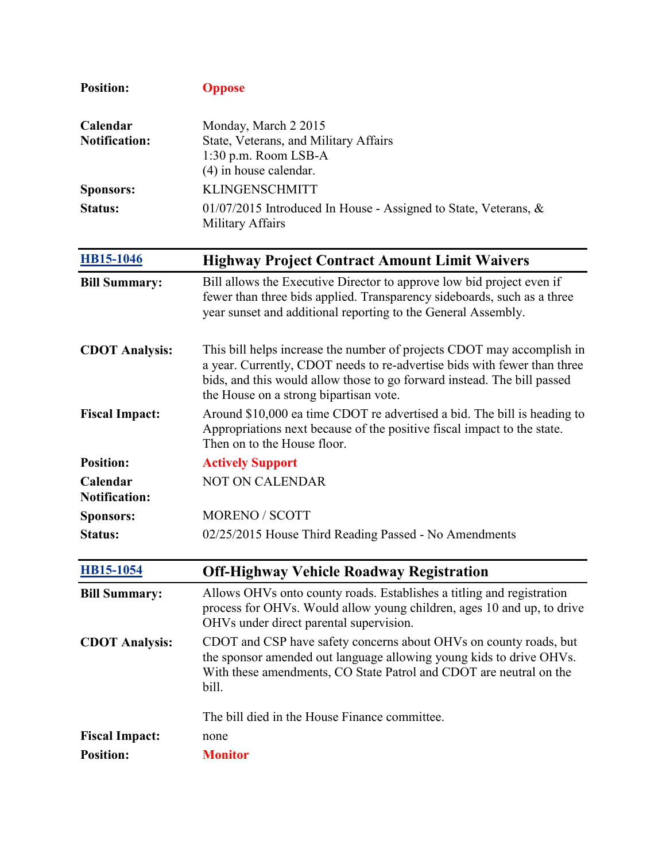| <b>Position:</b>                 | <b>Oppose</b>                                                                                                                                                                                                                                                           |
|----------------------------------|-------------------------------------------------------------------------------------------------------------------------------------------------------------------------------------------------------------------------------------------------------------------------|
| Calendar<br><b>Notification:</b> | Monday, March 2 2015<br>State, Veterans, and Military Affairs<br>1:30 p.m. Room LSB-A<br>(4) in house calendar.                                                                                                                                                         |
| <b>Sponsors:</b>                 | <b>KLINGENSCHMITT</b>                                                                                                                                                                                                                                                   |
| <b>Status:</b>                   | 01/07/2015 Introduced In House - Assigned to State, Veterans, &<br>Military Affairs                                                                                                                                                                                     |
| <b>HB15-1046</b>                 | <b>Highway Project Contract Amount Limit Waivers</b>                                                                                                                                                                                                                    |
| <b>Bill Summary:</b>             | Bill allows the Executive Director to approve low bid project even if<br>fewer than three bids applied. Transparency sideboards, such as a three<br>year sunset and additional reporting to the General Assembly.                                                       |
| <b>CDOT Analysis:</b>            | This bill helps increase the number of projects CDOT may accomplish in<br>a year. Currently, CDOT needs to re-advertise bids with fewer than three<br>bids, and this would allow those to go forward instead. The bill passed<br>the House on a strong bipartisan vote. |
| <b>Fiscal Impact:</b>            | Around \$10,000 ea time CDOT re advertised a bid. The bill is heading to<br>Appropriations next because of the positive fiscal impact to the state.<br>Then on to the House floor.                                                                                      |
| <b>Position:</b>                 | <b>Actively Support</b>                                                                                                                                                                                                                                                 |
| Calendar<br><b>Notification:</b> | <b>NOT ON CALENDAR</b>                                                                                                                                                                                                                                                  |
| <b>Sponsors:</b>                 | <b>MORENO / SCOTT</b>                                                                                                                                                                                                                                                   |
| <b>Status:</b>                   | 02/25/2015 House Third Reading Passed - No Amendments                                                                                                                                                                                                                   |
| <b>HB15-1054</b>                 | <b>Off-Highway Vehicle Roadway Registration</b>                                                                                                                                                                                                                         |
| <b>Bill Summary:</b>             | Allows OHVs onto county roads. Establishes a titling and registration<br>process for OHVs. Would allow young children, ages 10 and up, to drive<br>OHVs under direct parental supervision.                                                                              |
| <b>CDOT Analysis:</b>            | CDOT and CSP have safety concerns about OHVs on county roads, but<br>the sponsor amended out language allowing young kids to drive OHVs.<br>With these amendments, CO State Patrol and CDOT are neutral on the<br>bill.                                                 |
|                                  | The bill died in the House Finance committee.                                                                                                                                                                                                                           |
| <b>Fiscal Impact:</b>            | none                                                                                                                                                                                                                                                                    |
| <b>Position:</b>                 | <b>Monitor</b>                                                                                                                                                                                                                                                          |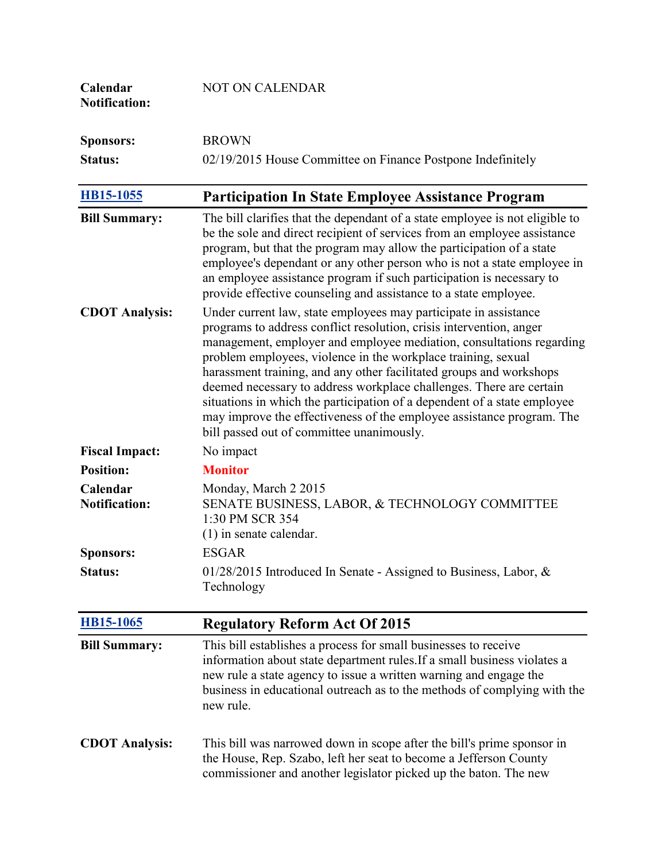| Calendar<br><b>Notification:</b> | <b>NOT ON CALENDAR</b>                                                                                                                                                                                                                                                                                                                                                                                                                                                                                                                                                                                                           |
|----------------------------------|----------------------------------------------------------------------------------------------------------------------------------------------------------------------------------------------------------------------------------------------------------------------------------------------------------------------------------------------------------------------------------------------------------------------------------------------------------------------------------------------------------------------------------------------------------------------------------------------------------------------------------|
| <b>Sponsors:</b>                 | <b>BROWN</b>                                                                                                                                                                                                                                                                                                                                                                                                                                                                                                                                                                                                                     |
| <b>Status:</b>                   | 02/19/2015 House Committee on Finance Postpone Indefinitely                                                                                                                                                                                                                                                                                                                                                                                                                                                                                                                                                                      |
| HB15-1055                        | <b>Participation In State Employee Assistance Program</b>                                                                                                                                                                                                                                                                                                                                                                                                                                                                                                                                                                        |
| <b>Bill Summary:</b>             | The bill clarifies that the dependant of a state employee is not eligible to<br>be the sole and direct recipient of services from an employee assistance<br>program, but that the program may allow the participation of a state<br>employee's dependant or any other person who is not a state employee in<br>an employee assistance program if such participation is necessary to<br>provide effective counseling and assistance to a state employee.                                                                                                                                                                          |
| <b>CDOT Analysis:</b>            | Under current law, state employees may participate in assistance<br>programs to address conflict resolution, crisis intervention, anger<br>management, employer and employee mediation, consultations regarding<br>problem employees, violence in the workplace training, sexual<br>harassment training, and any other facilitated groups and workshops<br>deemed necessary to address workplace challenges. There are certain<br>situations in which the participation of a dependent of a state employee<br>may improve the effectiveness of the employee assistance program. The<br>bill passed out of committee unanimously. |
| <b>Fiscal Impact:</b>            | No impact                                                                                                                                                                                                                                                                                                                                                                                                                                                                                                                                                                                                                        |
| <b>Position:</b>                 | <b>Monitor</b>                                                                                                                                                                                                                                                                                                                                                                                                                                                                                                                                                                                                                   |
| Calendar<br><b>Notification:</b> | Monday, March 2 2015<br>SENATE BUSINESS, LABOR, & TECHNOLOGY COMMITTEE<br>1:30 PM SCR 354<br>$(1)$ in senate calendar.                                                                                                                                                                                                                                                                                                                                                                                                                                                                                                           |
| <b>Sponsors:</b>                 | <b>ESGAR</b>                                                                                                                                                                                                                                                                                                                                                                                                                                                                                                                                                                                                                     |
| Status:                          | 01/28/2015 Introduced In Senate - Assigned to Business, Labor, $\&$<br>Technology                                                                                                                                                                                                                                                                                                                                                                                                                                                                                                                                                |
| <b>HB15-1065</b>                 | <b>Regulatory Reform Act Of 2015</b>                                                                                                                                                                                                                                                                                                                                                                                                                                                                                                                                                                                             |
| <b>Bill Summary:</b>             | This bill establishes a process for small businesses to receive<br>information about state department rules. If a small business violates a<br>new rule a state agency to issue a written warning and engage the<br>business in educational outreach as to the methods of complying with the<br>new rule.                                                                                                                                                                                                                                                                                                                        |
| <b>CDOT Analysis:</b>            | This bill was narrowed down in scope after the bill's prime sponsor in<br>the House, Rep. Szabo, left her seat to become a Jefferson County<br>commissioner and another legislator picked up the baton. The new                                                                                                                                                                                                                                                                                                                                                                                                                  |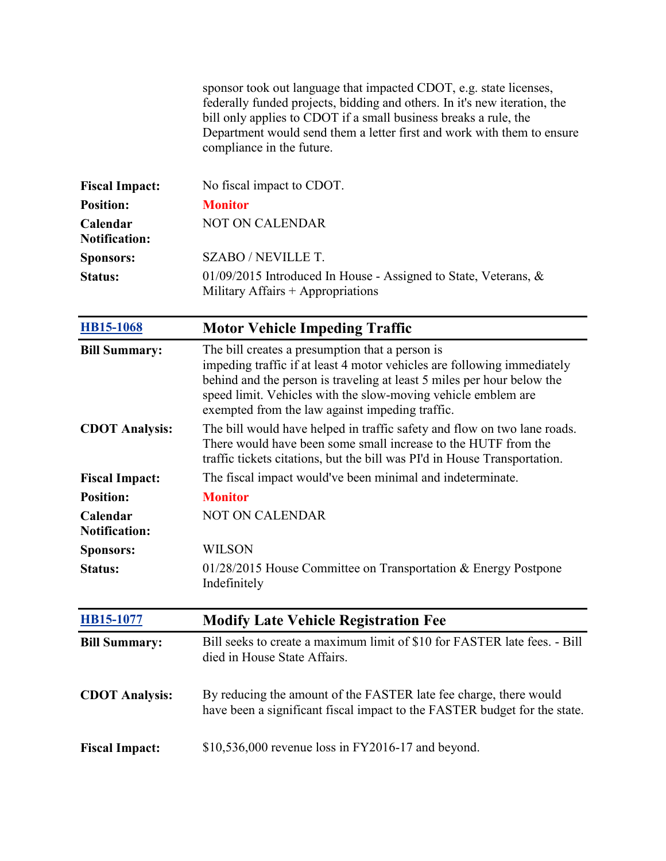|                                  | sponsor took out language that impacted CDOT, e.g. state licenses,<br>federally funded projects, bidding and others. In it's new iteration, the<br>bill only applies to CDOT if a small business breaks a rule, the<br>Department would send them a letter first and work with them to ensure<br>compliance in the future. |
|----------------------------------|----------------------------------------------------------------------------------------------------------------------------------------------------------------------------------------------------------------------------------------------------------------------------------------------------------------------------|
| <b>Fiscal Impact:</b>            | No fiscal impact to CDOT.                                                                                                                                                                                                                                                                                                  |
| <b>Position:</b>                 | <b>Monitor</b>                                                                                                                                                                                                                                                                                                             |
| Calendar<br><b>Notification:</b> | NOT ON CALENDAR                                                                                                                                                                                                                                                                                                            |
| <b>Sponsors:</b>                 | <b>SZABO / NEVILLE T.</b>                                                                                                                                                                                                                                                                                                  |
| <b>Status:</b>                   | $01/09/2015$ Introduced In House - Assigned to State, Veterans, &<br>Military Affairs $+$ Appropriations                                                                                                                                                                                                                   |
| HB15-1068                        | <b>Motor Vehicle Impeding Traffic</b>                                                                                                                                                                                                                                                                                      |
| <b>Bill Summary:</b>             | The bill creates a presumption that a person is<br>impeding traffic if at least 4 motor vehicles are following immediately<br>behind and the person is traveling at least 5 miles per hour below the<br>speed limit. Vehicles with the slow-moving vehicle emblem are<br>exempted from the law against impeding traffic.   |
| <b>CDOT</b> Analysis:            | The bill would have helped in traffic safety and flow on two lane roads.<br>There would have been some small increase to the HUTF from the<br>traffic tickets citations, but the bill was PI'd in House Transportation.                                                                                                    |
| <b>Fiscal Impact:</b>            | The fiscal impact would've been minimal and indeterminate.                                                                                                                                                                                                                                                                 |
| <b>Position:</b>                 | <b>Monitor</b>                                                                                                                                                                                                                                                                                                             |
| Calendar<br><b>Notification:</b> | <b>NOT ON CALENDAR</b>                                                                                                                                                                                                                                                                                                     |
| <b>Sponsors:</b>                 | WILSON                                                                                                                                                                                                                                                                                                                     |
| Status:                          | $01/28/2015$ House Committee on Transportation & Energy Postpone<br>Indefinitely                                                                                                                                                                                                                                           |
| HB15-1077                        | <b>Modify Late Vehicle Registration Fee</b>                                                                                                                                                                                                                                                                                |
| <b>Bill Summary:</b>             | Bill seeks to create a maximum limit of \$10 for FASTER late fees. - Bill<br>died in House State Affairs.                                                                                                                                                                                                                  |
| <b>CDOT Analysis:</b>            | By reducing the amount of the FASTER late fee charge, there would<br>have been a significant fiscal impact to the FASTER budget for the state.                                                                                                                                                                             |
| <b>Fiscal Impact:</b>            | \$10,536,000 revenue loss in FY2016-17 and beyond.                                                                                                                                                                                                                                                                         |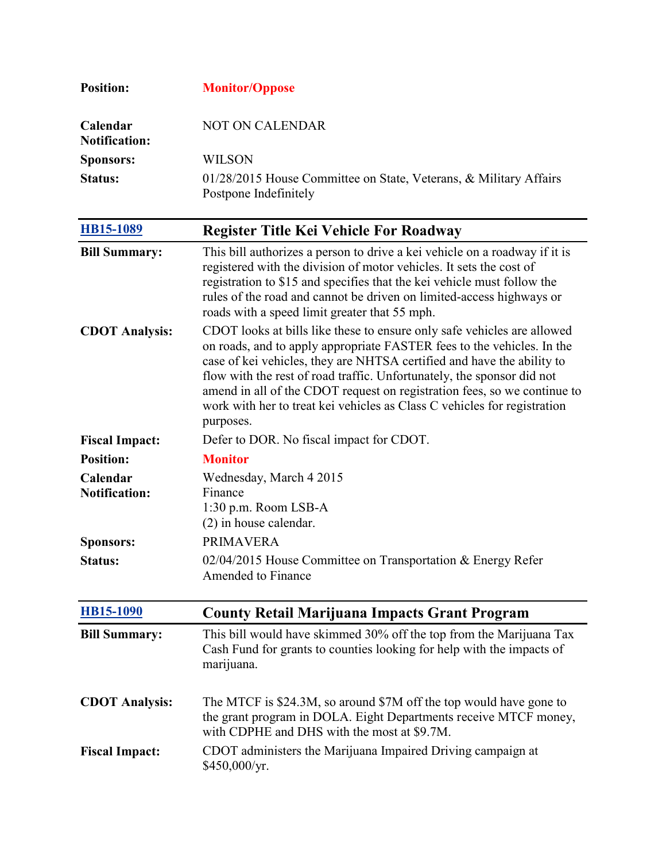| <b>Position:</b>                   | <b>Monitor/Oppose</b>                                                                                                                                                                                                                                                                                                                                                                                                                                                      |
|------------------------------------|----------------------------------------------------------------------------------------------------------------------------------------------------------------------------------------------------------------------------------------------------------------------------------------------------------------------------------------------------------------------------------------------------------------------------------------------------------------------------|
| Calendar<br><b>Notification:</b>   | <b>NOT ON CALENDAR</b>                                                                                                                                                                                                                                                                                                                                                                                                                                                     |
| <b>Sponsors:</b>                   | <b>WILSON</b>                                                                                                                                                                                                                                                                                                                                                                                                                                                              |
| Status:                            | 01/28/2015 House Committee on State, Veterans, & Military Affairs<br>Postpone Indefinitely                                                                                                                                                                                                                                                                                                                                                                                 |
| HB15-1089                          | <b>Register Title Kei Vehicle For Roadway</b>                                                                                                                                                                                                                                                                                                                                                                                                                              |
| <b>Bill Summary:</b>               | This bill authorizes a person to drive a kei vehicle on a roadway if it is<br>registered with the division of motor vehicles. It sets the cost of<br>registration to \$15 and specifies that the kei vehicle must follow the<br>rules of the road and cannot be driven on limited-access highways or<br>roads with a speed limit greater that 55 mph.                                                                                                                      |
| <b>CDOT Analysis:</b>              | CDOT looks at bills like these to ensure only safe vehicles are allowed<br>on roads, and to apply appropriate FASTER fees to the vehicles. In the<br>case of kei vehicles, they are NHTSA certified and have the ability to<br>flow with the rest of road traffic. Unfortunately, the sponsor did not<br>amend in all of the CDOT request on registration fees, so we continue to<br>work with her to treat kei vehicles as Class C vehicles for registration<br>purposes. |
| <b>Fiscal Impact:</b>              | Defer to DOR. No fiscal impact for CDOT.                                                                                                                                                                                                                                                                                                                                                                                                                                   |
| <b>Position:</b>                   | <b>Monitor</b>                                                                                                                                                                                                                                                                                                                                                                                                                                                             |
| Calendar                           | Wednesday, March 4 2015                                                                                                                                                                                                                                                                                                                                                                                                                                                    |
| <b>Notification:</b>               | Finance                                                                                                                                                                                                                                                                                                                                                                                                                                                                    |
|                                    | 1:30 p.m. Room LSB-A                                                                                                                                                                                                                                                                                                                                                                                                                                                       |
|                                    | (2) in house calendar.<br><b>PRIMAVERA</b>                                                                                                                                                                                                                                                                                                                                                                                                                                 |
| <b>Sponsors:</b><br><b>Status:</b> | 02/04/2015 House Committee on Transportation & Energy Refer                                                                                                                                                                                                                                                                                                                                                                                                                |
|                                    | <b>Amended to Finance</b>                                                                                                                                                                                                                                                                                                                                                                                                                                                  |
| <b>HB15-1090</b>                   | <b>County Retail Marijuana Impacts Grant Program</b>                                                                                                                                                                                                                                                                                                                                                                                                                       |
| <b>Bill Summary:</b>               | This bill would have skimmed 30% off the top from the Marijuana Tax<br>Cash Fund for grants to counties looking for help with the impacts of<br>marijuana.                                                                                                                                                                                                                                                                                                                 |
| <b>CDOT Analysis:</b>              | The MTCF is \$24.3M, so around \$7M off the top would have gone to<br>the grant program in DOLA. Eight Departments receive MTCF money,<br>with CDPHE and DHS with the most at \$9.7M.                                                                                                                                                                                                                                                                                      |
| <b>Fiscal Impact:</b>              | CDOT administers the Marijuana Impaired Driving campaign at<br>\$450,000/yr.                                                                                                                                                                                                                                                                                                                                                                                               |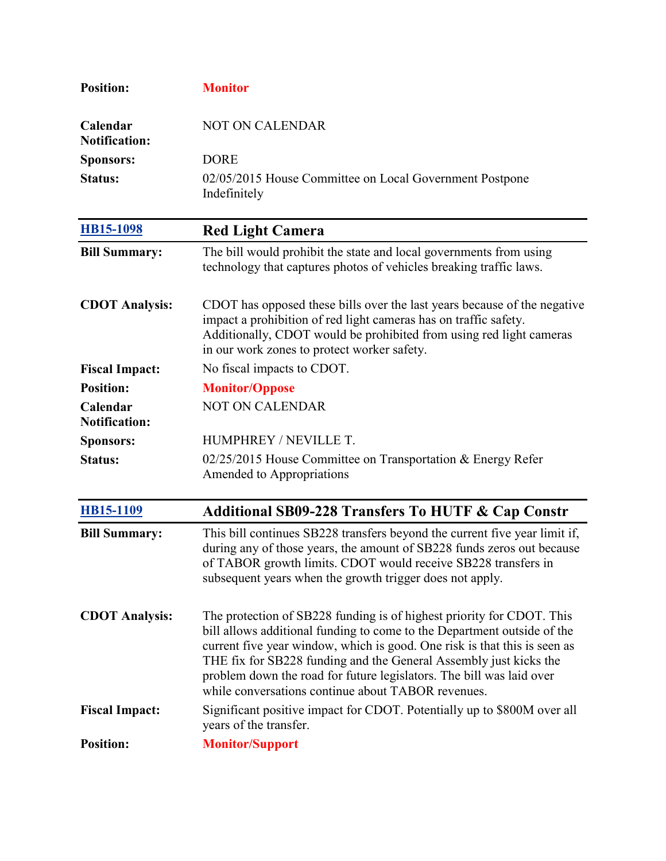| <b>Position:</b>                 | <b>Monitor</b>                                                                                                                                                                                                                                                                                                                                                                                                                   |
|----------------------------------|----------------------------------------------------------------------------------------------------------------------------------------------------------------------------------------------------------------------------------------------------------------------------------------------------------------------------------------------------------------------------------------------------------------------------------|
| Calendar<br><b>Notification:</b> | <b>NOT ON CALENDAR</b>                                                                                                                                                                                                                                                                                                                                                                                                           |
| <b>Sponsors:</b>                 | <b>DORE</b>                                                                                                                                                                                                                                                                                                                                                                                                                      |
| <b>Status:</b>                   | 02/05/2015 House Committee on Local Government Postpone<br>Indefinitely                                                                                                                                                                                                                                                                                                                                                          |
| HB15-1098                        | <b>Red Light Camera</b>                                                                                                                                                                                                                                                                                                                                                                                                          |
| <b>Bill Summary:</b>             | The bill would prohibit the state and local governments from using<br>technology that captures photos of vehicles breaking traffic laws.                                                                                                                                                                                                                                                                                         |
| <b>CDOT</b> Analysis:            | CDOT has opposed these bills over the last years because of the negative<br>impact a prohibition of red light cameras has on traffic safety.<br>Additionally, CDOT would be prohibited from using red light cameras<br>in our work zones to protect worker safety.                                                                                                                                                               |
| <b>Fiscal Impact:</b>            | No fiscal impacts to CDOT.                                                                                                                                                                                                                                                                                                                                                                                                       |
| <b>Position:</b>                 | <b>Monitor/Oppose</b>                                                                                                                                                                                                                                                                                                                                                                                                            |
| Calendar<br><b>Notification:</b> | <b>NOT ON CALENDAR</b>                                                                                                                                                                                                                                                                                                                                                                                                           |
| <b>Sponsors:</b>                 | HUMPHREY / NEVILLE T.                                                                                                                                                                                                                                                                                                                                                                                                            |
| <b>Status:</b>                   | 02/25/2015 House Committee on Transportation & Energy Refer<br>Amended to Appropriations                                                                                                                                                                                                                                                                                                                                         |
| HB15-1109                        | <b>Additional SB09-228 Transfers To HUTF &amp; Cap Constr</b>                                                                                                                                                                                                                                                                                                                                                                    |
| <b>Bill Summary:</b>             | This bill continues SB228 transfers beyond the current five year limit if,<br>during any of those years, the amount of SB228 funds zeros out because<br>of TABOR growth limits. CDOT would receive SB228 transfers in<br>subsequent years when the growth trigger does not apply.                                                                                                                                                |
| <b>CDOT</b> Analysis:            | The protection of SB228 funding is of highest priority for CDOT. This<br>bill allows additional funding to come to the Department outside of the<br>current five year window, which is good. One risk is that this is seen as<br>THE fix for SB228 funding and the General Assembly just kicks the<br>problem down the road for future legislators. The bill was laid over<br>while conversations continue about TABOR revenues. |
| <b>Fiscal Impact:</b>            | Significant positive impact for CDOT. Potentially up to \$800M over all<br>years of the transfer.                                                                                                                                                                                                                                                                                                                                |
| <b>Position:</b>                 | <b>Monitor/Support</b>                                                                                                                                                                                                                                                                                                                                                                                                           |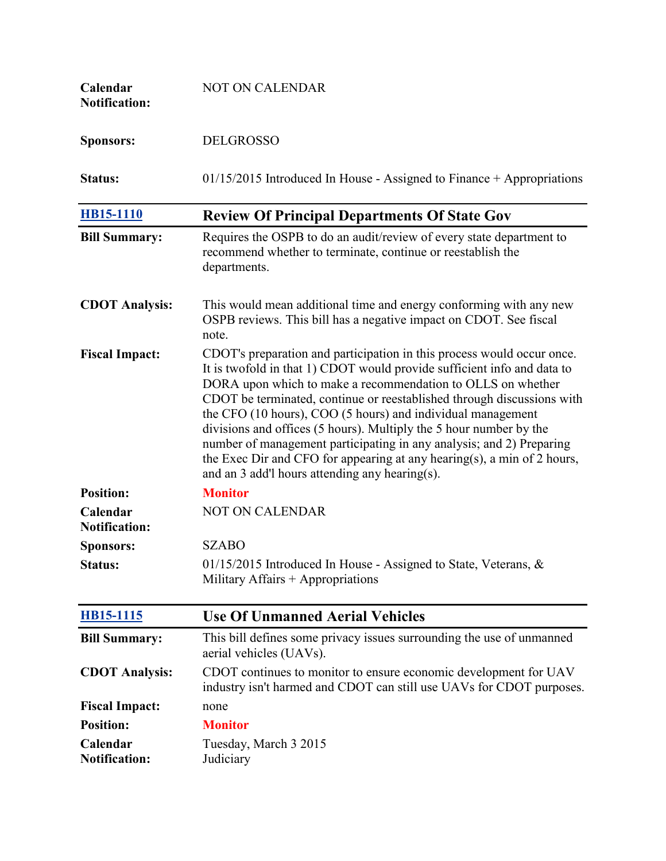| Calendar<br><b>Notification:</b> | <b>NOT ON CALENDAR</b>                                                                                                                                                                                                                                                                                                                                                                                                                                                                                                                                                                                                               |
|----------------------------------|--------------------------------------------------------------------------------------------------------------------------------------------------------------------------------------------------------------------------------------------------------------------------------------------------------------------------------------------------------------------------------------------------------------------------------------------------------------------------------------------------------------------------------------------------------------------------------------------------------------------------------------|
| <b>Sponsors:</b>                 | <b>DELGROSSO</b>                                                                                                                                                                                                                                                                                                                                                                                                                                                                                                                                                                                                                     |
| Status:                          | $01/15/2015$ Introduced In House - Assigned to Finance + Appropriations                                                                                                                                                                                                                                                                                                                                                                                                                                                                                                                                                              |
| <b>HB15-1110</b>                 | <b>Review Of Principal Departments Of State Gov</b>                                                                                                                                                                                                                                                                                                                                                                                                                                                                                                                                                                                  |
| <b>Bill Summary:</b>             | Requires the OSPB to do an audit/review of every state department to<br>recommend whether to terminate, continue or reestablish the<br>departments.                                                                                                                                                                                                                                                                                                                                                                                                                                                                                  |
| <b>CDOT Analysis:</b>            | This would mean additional time and energy conforming with any new<br>OSPB reviews. This bill has a negative impact on CDOT. See fiscal<br>note.                                                                                                                                                                                                                                                                                                                                                                                                                                                                                     |
| <b>Fiscal Impact:</b>            | CDOT's preparation and participation in this process would occur once.<br>It is twofold in that 1) CDOT would provide sufficient info and data to<br>DORA upon which to make a recommendation to OLLS on whether<br>CDOT be terminated, continue or reestablished through discussions with<br>the CFO (10 hours), COO (5 hours) and individual management<br>divisions and offices (5 hours). Multiply the 5 hour number by the<br>number of management participating in any analysis; and 2) Preparing<br>the Exec Dir and CFO for appearing at any hearing(s), a min of 2 hours,<br>and an 3 add'l hours attending any hearing(s). |
| <b>Position:</b>                 | <b>Monitor</b>                                                                                                                                                                                                                                                                                                                                                                                                                                                                                                                                                                                                                       |
| Calendar<br><b>Notification:</b> | <b>NOT ON CALENDAR</b>                                                                                                                                                                                                                                                                                                                                                                                                                                                                                                                                                                                                               |
| <b>Sponsors:</b>                 | <b>SZABO</b>                                                                                                                                                                                                                                                                                                                                                                                                                                                                                                                                                                                                                         |
| Status:                          | 01/15/2015 Introduced In House - Assigned to State, Veterans, &<br>Military Affairs $+$ Appropriations                                                                                                                                                                                                                                                                                                                                                                                                                                                                                                                               |
| <b>HB15-1115</b>                 | <b>Use Of Unmanned Aerial Vehicles</b>                                                                                                                                                                                                                                                                                                                                                                                                                                                                                                                                                                                               |
| <b>Bill Summary:</b>             | This bill defines some privacy issues surrounding the use of unmanned<br>aerial vehicles (UAVs).                                                                                                                                                                                                                                                                                                                                                                                                                                                                                                                                     |
| <b>CDOT Analysis:</b>            | CDOT continues to monitor to ensure economic development for UAV<br>industry isn't harmed and CDOT can still use UAVs for CDOT purposes.                                                                                                                                                                                                                                                                                                                                                                                                                                                                                             |
| <b>Fiscal Impact:</b>            | none                                                                                                                                                                                                                                                                                                                                                                                                                                                                                                                                                                                                                                 |
| <b>Position:</b>                 | <b>Monitor</b>                                                                                                                                                                                                                                                                                                                                                                                                                                                                                                                                                                                                                       |
| Calendar<br><b>Notification:</b> | Tuesday, March 3 2015<br>Judiciary                                                                                                                                                                                                                                                                                                                                                                                                                                                                                                                                                                                                   |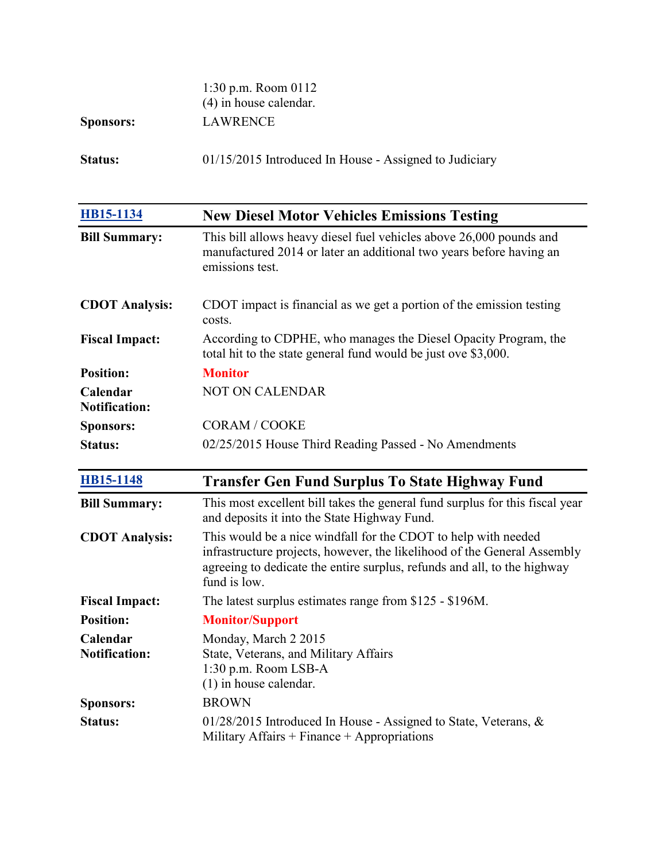|                  | 1:30 p.m. Room $0112$<br>$(4)$ in house calendar.        |
|------------------|----------------------------------------------------------|
| <b>Sponsors:</b> | LAWRENCE                                                 |
| <b>Status:</b>   | $01/15/2015$ Introduced In House - Assigned to Judiciary |

| HB15-1134                                                                                                                      | <b>New Diesel Motor Vehicles Emissions Testing</b>                                                                                                                                                                                     |
|--------------------------------------------------------------------------------------------------------------------------------|----------------------------------------------------------------------------------------------------------------------------------------------------------------------------------------------------------------------------------------|
| <b>Bill Summary:</b>                                                                                                           | This bill allows heavy diesel fuel vehicles above 26,000 pounds and<br>manufactured 2014 or later an additional two years before having an<br>emissions test.                                                                          |
| <b>CDOT Analysis:</b>                                                                                                          | CDOT impact is financial as we get a portion of the emission testing<br>costs.                                                                                                                                                         |
| <b>Fiscal Impact:</b>                                                                                                          | According to CDPHE, who manages the Diesel Opacity Program, the<br>total hit to the state general fund would be just ove \$3,000.                                                                                                      |
| <b>Position:</b>                                                                                                               | <b>Monitor</b>                                                                                                                                                                                                                         |
| Calendar<br><b>Notification:</b>                                                                                               | <b>NOT ON CALENDAR</b>                                                                                                                                                                                                                 |
| <b>Sponsors:</b>                                                                                                               | <b>CORAM / COOKE</b>                                                                                                                                                                                                                   |
| <b>Status:</b>                                                                                                                 | 02/25/2015 House Third Reading Passed - No Amendments                                                                                                                                                                                  |
| <b>HB15-1148</b>                                                                                                               | <b>Transfer Gen Fund Surplus To State Highway Fund</b>                                                                                                                                                                                 |
|                                                                                                                                |                                                                                                                                                                                                                                        |
|                                                                                                                                | This most excellent bill takes the general fund surplus for this fiscal year<br>and deposits it into the State Highway Fund.                                                                                                           |
|                                                                                                                                | This would be a nice windfall for the CDOT to help with needed<br>infrastructure projects, however, the likelihood of the General Assembly<br>agreeing to dedicate the entire surplus, refunds and all, to the highway<br>fund is low. |
|                                                                                                                                | The latest surplus estimates range from \$125 - \$196M.                                                                                                                                                                                |
|                                                                                                                                | <b>Monitor/Support</b>                                                                                                                                                                                                                 |
| <b>Bill Summary:</b><br><b>CDOT Analysis:</b><br><b>Fiscal Impact:</b><br><b>Position:</b><br>Calendar<br><b>Notification:</b> | Monday, March 2 2015<br>State, Veterans, and Military Affairs<br>1:30 p.m. Room LSB-A<br>$(1)$ in house calendar.                                                                                                                      |
| <b>Sponsors:</b>                                                                                                               | <b>BROWN</b>                                                                                                                                                                                                                           |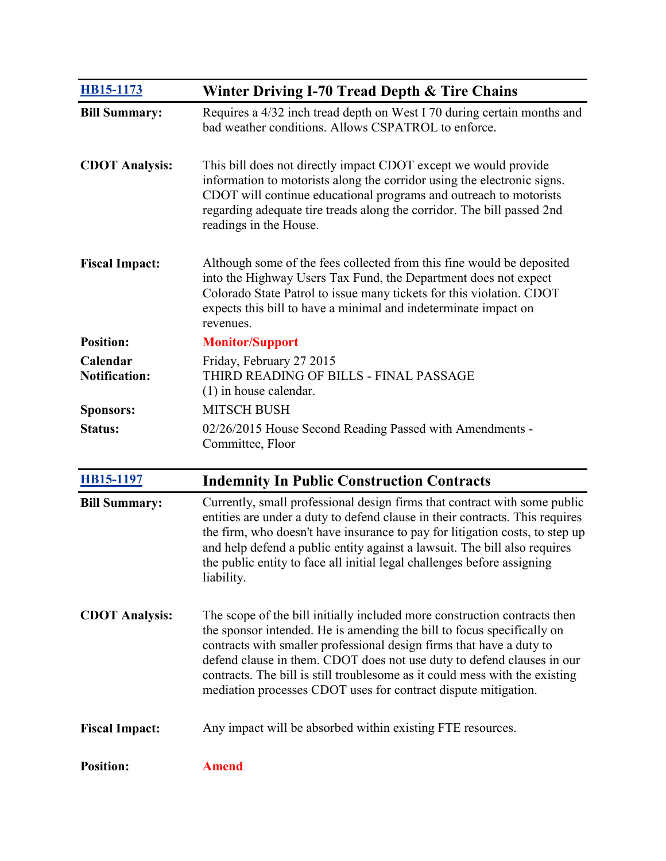| <b>HB15-1173</b>                 | Winter Driving I-70 Tread Depth & Tire Chains                                                                                                                                                                                                                                                                                                                                                                                                          |
|----------------------------------|--------------------------------------------------------------------------------------------------------------------------------------------------------------------------------------------------------------------------------------------------------------------------------------------------------------------------------------------------------------------------------------------------------------------------------------------------------|
| <b>Bill Summary:</b>             | Requires a 4/32 inch tread depth on West I 70 during certain months and<br>bad weather conditions. Allows CSPATROL to enforce.                                                                                                                                                                                                                                                                                                                         |
| <b>CDOT Analysis:</b>            | This bill does not directly impact CDOT except we would provide<br>information to motorists along the corridor using the electronic signs.<br>CDOT will continue educational programs and outreach to motorists<br>regarding adequate tire treads along the corridor. The bill passed 2nd<br>readings in the House.                                                                                                                                    |
| <b>Fiscal Impact:</b>            | Although some of the fees collected from this fine would be deposited<br>into the Highway Users Tax Fund, the Department does not expect<br>Colorado State Patrol to issue many tickets for this violation. CDOT<br>expects this bill to have a minimal and indeterminate impact on<br>revenues.                                                                                                                                                       |
| <b>Position:</b>                 | <b>Monitor/Support</b>                                                                                                                                                                                                                                                                                                                                                                                                                                 |
| Calendar<br><b>Notification:</b> | Friday, February 27 2015<br>THIRD READING OF BILLS - FINAL PASSAGE<br>$(1)$ in house calendar.                                                                                                                                                                                                                                                                                                                                                         |
| <b>Sponsors:</b>                 | <b>MITSCH BUSH</b>                                                                                                                                                                                                                                                                                                                                                                                                                                     |
| <b>Status:</b>                   | 02/26/2015 House Second Reading Passed with Amendments -<br>Committee, Floor                                                                                                                                                                                                                                                                                                                                                                           |
| <b>HB15-1197</b>                 | <b>Indemnity In Public Construction Contracts</b>                                                                                                                                                                                                                                                                                                                                                                                                      |
| <b>Bill Summary:</b>             | Currently, small professional design firms that contract with some public<br>entities are under a duty to defend clause in their contracts. This requires<br>the firm, who doesn't have insurance to pay for litigation costs, to step up<br>and help defend a public entity against a lawsuit. The bill also requires<br>the public entity to face all initial legal challenges before assigning<br>liability.                                        |
| <b>CDOT Analysis:</b>            | The scope of the bill initially included more construction contracts then<br>the sponsor intended. He is amending the bill to focus specifically on<br>contracts with smaller professional design firms that have a duty to<br>defend clause in them. CDOT does not use duty to defend clauses in our<br>contracts. The bill is still troublesome as it could mess with the existing<br>mediation processes CDOT uses for contract dispute mitigation. |
| <b>Fiscal Impact:</b>            | Any impact will be absorbed within existing FTE resources.                                                                                                                                                                                                                                                                                                                                                                                             |
| <b>Position:</b>                 | <b>Amend</b>                                                                                                                                                                                                                                                                                                                                                                                                                                           |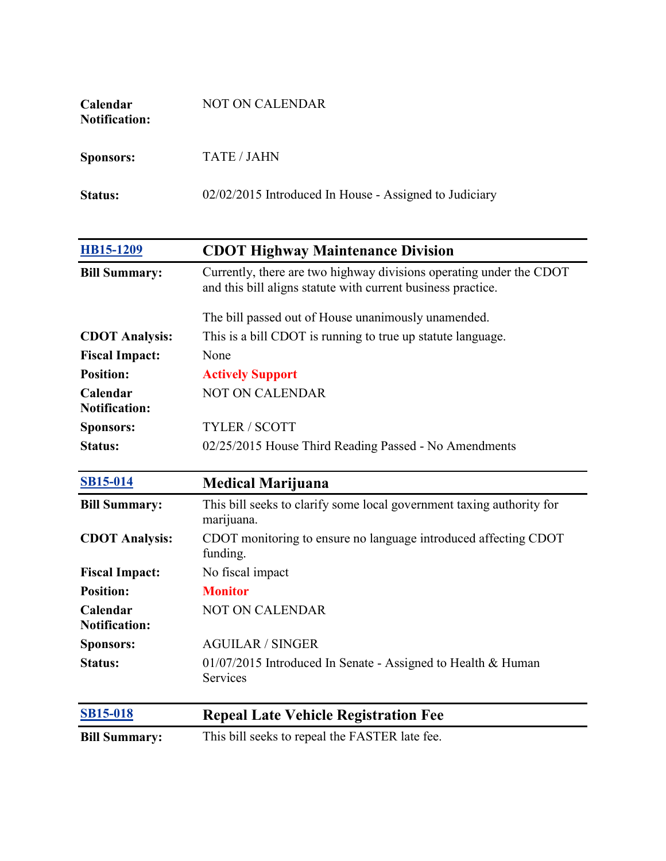| <b>Calendar</b><br><b>Notification:</b> | NOT ON CALENDAR                                        |
|-----------------------------------------|--------------------------------------------------------|
| <b>Sponsors:</b>                        | <b>TATE / JAHN</b>                                     |
| <b>Status:</b>                          | 02/02/2015 Introduced In House - Assigned to Judiciary |

| HB15-1209                        | <b>CDOT Highway Maintenance Division</b>                                                                                            |
|----------------------------------|-------------------------------------------------------------------------------------------------------------------------------------|
| <b>Bill Summary:</b>             | Currently, there are two highway divisions operating under the CDOT<br>and this bill aligns statute with current business practice. |
|                                  | The bill passed out of House unanimously unamended.                                                                                 |
| <b>CDOT</b> Analysis:            | This is a bill CDOT is running to true up statute language.                                                                         |
| <b>Fiscal Impact:</b>            | None                                                                                                                                |
| <b>Position:</b>                 | <b>Actively Support</b>                                                                                                             |
| Calendar<br><b>Notification:</b> | <b>NOT ON CALENDAR</b>                                                                                                              |
| <b>Sponsors:</b>                 | <b>TYLER / SCOTT</b>                                                                                                                |
| <b>Status:</b>                   | 02/25/2015 House Third Reading Passed - No Amendments                                                                               |
|                                  |                                                                                                                                     |

| <b>SB15-014</b>                  | <b>Medical Marijuana</b>                                                            |
|----------------------------------|-------------------------------------------------------------------------------------|
| <b>Bill Summary:</b>             | This bill seeks to clarify some local government taxing authority for<br>marijuana. |
| <b>CDOT</b> Analysis:            | CDOT monitoring to ensure no language introduced affecting CDOT<br>funding.         |
| <b>Fiscal Impact:</b>            | No fiscal impact                                                                    |
| <b>Position:</b>                 | <b>Monitor</b>                                                                      |
| Calendar<br><b>Notification:</b> | <b>NOT ON CALENDAR</b>                                                              |
| <b>Sponsors:</b>                 | <b>AGUILAR / SINGER</b>                                                             |
| Status:                          | 01/07/2015 Introduced In Senate - Assigned to Health & Human<br><b>Services</b>     |
| <b>SB15-018</b>                  | <b>Repeal Late Vehicle Registration Fee</b>                                         |

**Bill Summary:** This bill seeks to repeal the FASTER late fee.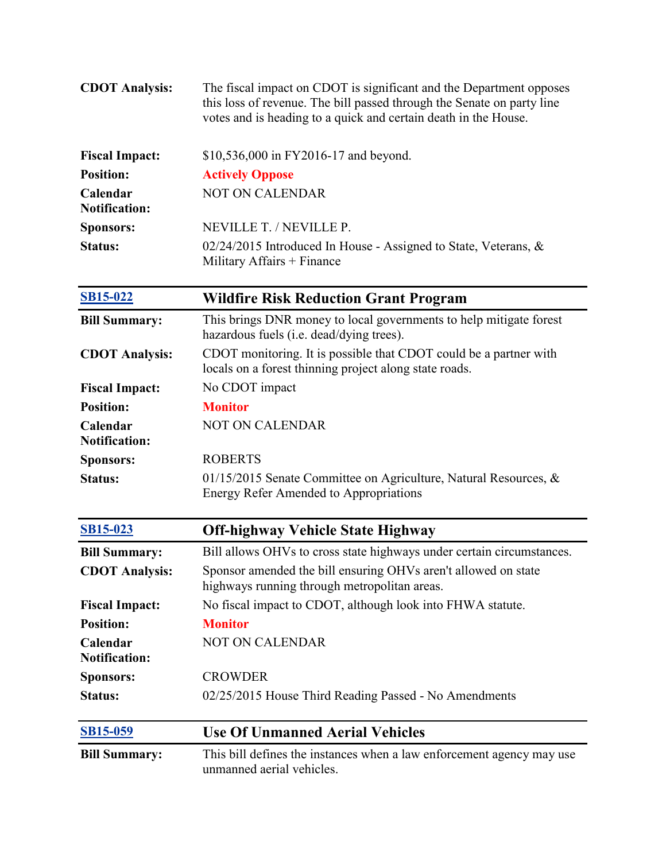| <b>CDOT Analysis:</b>            | The fiscal impact on CDOT is significant and the Department opposes<br>this loss of revenue. The bill passed through the Senate on party line<br>votes and is heading to a quick and certain death in the House. |
|----------------------------------|------------------------------------------------------------------------------------------------------------------------------------------------------------------------------------------------------------------|
| <b>Fiscal Impact:</b>            | \$10,536,000 in FY2016-17 and beyond.                                                                                                                                                                            |
| <b>Position:</b>                 | <b>Actively Oppose</b>                                                                                                                                                                                           |
| Calendar<br><b>Notification:</b> | <b>NOT ON CALENDAR</b>                                                                                                                                                                                           |
| <b>Sponsors:</b>                 | NEVILLE T. / NEVILLE P.                                                                                                                                                                                          |
| <b>Status:</b>                   | 02/24/2015 Introduced In House - Assigned to State, Veterans, &<br>Military Affairs + Finance                                                                                                                    |
| <b>SB15-022</b>                  | <b>Wildfire Risk Reduction Grant Program</b>                                                                                                                                                                     |
| <b>Bill Summary:</b>             | This brings DNR money to local governments to help mitigate forest<br>hazardous fuels (i.e. dead/dying trees).                                                                                                   |
| <b>CDOT Analysis:</b>            | CDOT monitoring. It is possible that CDOT could be a partner with<br>locals on a forest thinning project along state roads.                                                                                      |
| <b>Fiscal Impact:</b>            | No CDOT impact                                                                                                                                                                                                   |
| <b>Position:</b>                 | <b>Monitor</b>                                                                                                                                                                                                   |
| Calendar<br><b>Notification:</b> | <b>NOT ON CALENDAR</b>                                                                                                                                                                                           |
| <b>Sponsors:</b>                 | <b>ROBERTS</b>                                                                                                                                                                                                   |
| <b>Status:</b>                   | 01/15/2015 Senate Committee on Agriculture, Natural Resources, $\&$<br><b>Energy Refer Amended to Appropriations</b>                                                                                             |
| <b>SB15-023</b>                  | <b>Off-highway Vehicle State Highway</b>                                                                                                                                                                         |
| <b>Bill Summary:</b>             | Bill allows OHVs to cross state highways under certain circumstances.                                                                                                                                            |
| <b>CDOT Analysis:</b>            | Sponsor amended the bill ensuring OHVs aren't allowed on state<br>highways running through metropolitan areas.                                                                                                   |
| <b>Fiscal Impact:</b>            | No fiscal impact to CDOT, although look into FHWA statute.                                                                                                                                                       |
| <b>Position:</b>                 | <b>Monitor</b>                                                                                                                                                                                                   |
| Calendar<br><b>Notification:</b> | NOT ON CALENDAR                                                                                                                                                                                                  |
| <b>Sponsors:</b>                 | <b>CROWDER</b>                                                                                                                                                                                                   |
| <b>Status:</b>                   | 02/25/2015 House Third Reading Passed - No Amendments                                                                                                                                                            |
| <b>SB15-059</b>                  | <b>Use Of Unmanned Aerial Vehicles</b>                                                                                                                                                                           |
| <b>Bill Summary:</b>             | This bill defines the instances when a law enforcement agency may use<br>unmanned aerial vehicles.                                                                                                               |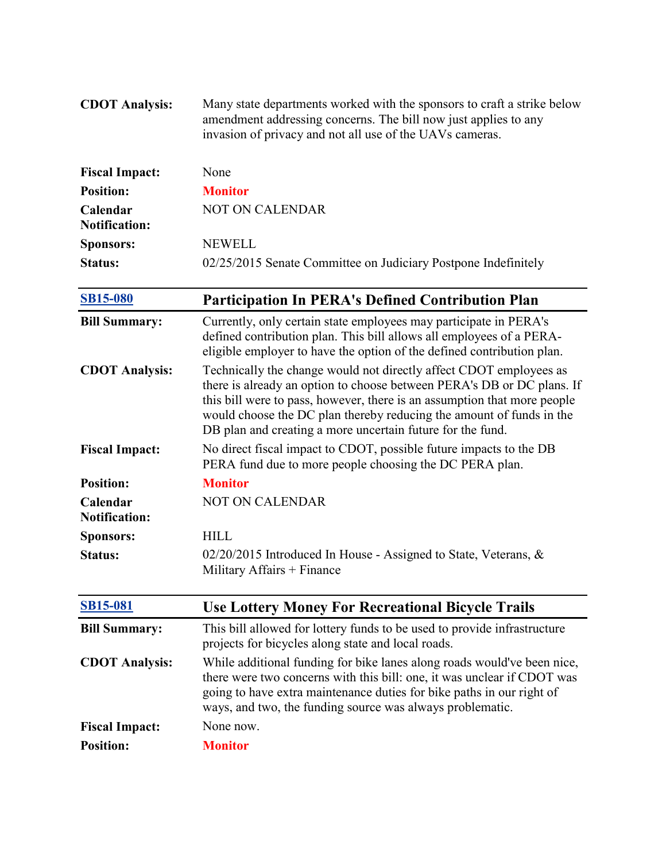| <b>CDOT Analysis:</b>            | Many state departments worked with the sponsors to craft a strike below<br>amendment addressing concerns. The bill now just applies to any<br>invasion of privacy and not all use of the UAVs cameras.                                                                                                                                                         |
|----------------------------------|----------------------------------------------------------------------------------------------------------------------------------------------------------------------------------------------------------------------------------------------------------------------------------------------------------------------------------------------------------------|
| <b>Fiscal Impact:</b>            | None                                                                                                                                                                                                                                                                                                                                                           |
| <b>Position:</b>                 | <b>Monitor</b>                                                                                                                                                                                                                                                                                                                                                 |
| Calendar<br><b>Notification:</b> | NOT ON CALENDAR                                                                                                                                                                                                                                                                                                                                                |
| <b>Sponsors:</b>                 | <b>NEWELL</b>                                                                                                                                                                                                                                                                                                                                                  |
| <b>Status:</b>                   | 02/25/2015 Senate Committee on Judiciary Postpone Indefinitely                                                                                                                                                                                                                                                                                                 |
| <b>SB15-080</b>                  | <b>Participation In PERA's Defined Contribution Plan</b>                                                                                                                                                                                                                                                                                                       |
| <b>Bill Summary:</b>             | Currently, only certain state employees may participate in PERA's<br>defined contribution plan. This bill allows all employees of a PERA-<br>eligible employer to have the option of the defined contribution plan.                                                                                                                                            |
| <b>CDOT Analysis:</b>            | Technically the change would not directly affect CDOT employees as<br>there is already an option to choose between PERA's DB or DC plans. If<br>this bill were to pass, however, there is an assumption that more people<br>would choose the DC plan thereby reducing the amount of funds in the<br>DB plan and creating a more uncertain future for the fund. |
| <b>Fiscal Impact:</b>            | No direct fiscal impact to CDOT, possible future impacts to the DB<br>PERA fund due to more people choosing the DC PERA plan.                                                                                                                                                                                                                                  |
| <b>Position:</b>                 | <b>Monitor</b>                                                                                                                                                                                                                                                                                                                                                 |
| Calendar<br><b>Notification:</b> | <b>NOT ON CALENDAR</b>                                                                                                                                                                                                                                                                                                                                         |
| <b>Sponsors:</b>                 | <b>HILL</b>                                                                                                                                                                                                                                                                                                                                                    |
| <b>Status:</b>                   | 02/20/2015 Introduced In House - Assigned to State, Veterans, &<br>Military Affairs + Finance                                                                                                                                                                                                                                                                  |
| <b>SB15-081</b>                  | <b>Use Lottery Money For Recreational Bicycle Trails</b>                                                                                                                                                                                                                                                                                                       |
| <b>Bill Summary:</b>             | This bill allowed for lottery funds to be used to provide infrastructure<br>projects for bicycles along state and local roads.                                                                                                                                                                                                                                 |
| <b>CDOT Analysis:</b>            | While additional funding for bike lanes along roads would've been nice,<br>there were two concerns with this bill: one, it was unclear if CDOT was<br>going to have extra maintenance duties for bike paths in our right of<br>ways, and two, the funding source was always problematic.                                                                       |
| <b>Fiscal Impact:</b>            | None now.                                                                                                                                                                                                                                                                                                                                                      |
| <b>Position:</b>                 | <b>Monitor</b>                                                                                                                                                                                                                                                                                                                                                 |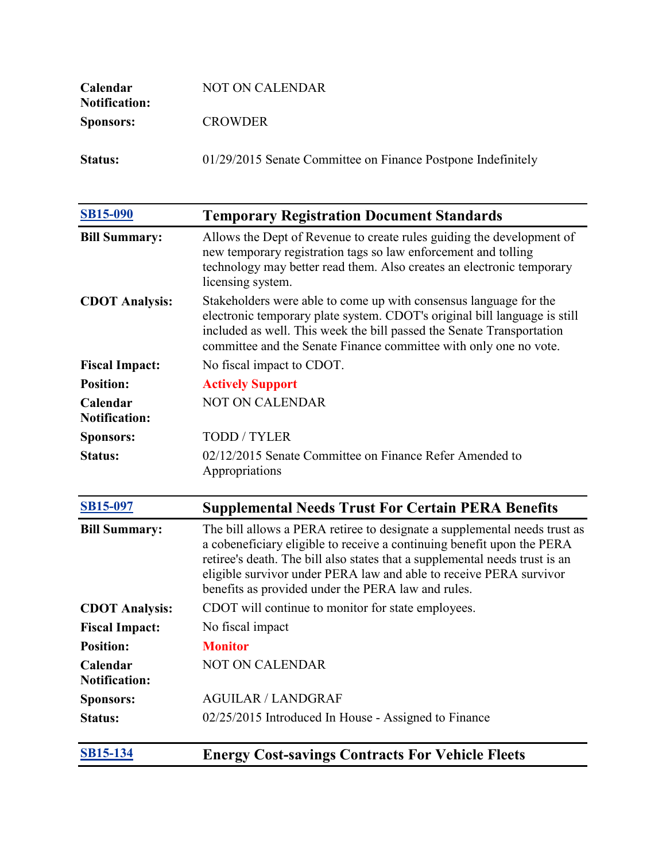| <b>Calendar</b><br><b>Notification:</b> | NOT ON CALENDAR                                              |
|-----------------------------------------|--------------------------------------------------------------|
| <b>Sponsors:</b>                        | <b>CROWDER</b>                                               |
| <b>Status:</b>                          | 01/29/2015 Senate Committee on Finance Postpone Indefinitely |

| <b>SB15-090</b>                  | <b>Temporary Registration Document Standards</b>                                                                                                                                                                                                                                                                                                               |
|----------------------------------|----------------------------------------------------------------------------------------------------------------------------------------------------------------------------------------------------------------------------------------------------------------------------------------------------------------------------------------------------------------|
| <b>Bill Summary:</b>             | Allows the Dept of Revenue to create rules guiding the development of<br>new temporary registration tags so law enforcement and tolling<br>technology may better read them. Also creates an electronic temporary<br>licensing system.                                                                                                                          |
| <b>CDOT Analysis:</b>            | Stakeholders were able to come up with consensus language for the<br>electronic temporary plate system. CDOT's original bill language is still<br>included as well. This week the bill passed the Senate Transportation<br>committee and the Senate Finance committee with only one no vote.                                                                   |
| <b>Fiscal Impact:</b>            | No fiscal impact to CDOT.                                                                                                                                                                                                                                                                                                                                      |
| <b>Position:</b>                 | <b>Actively Support</b>                                                                                                                                                                                                                                                                                                                                        |
| Calendar<br><b>Notification:</b> | <b>NOT ON CALENDAR</b>                                                                                                                                                                                                                                                                                                                                         |
| <b>Sponsors:</b>                 | <b>TODD/TYLER</b>                                                                                                                                                                                                                                                                                                                                              |
| <b>Status:</b>                   | 02/12/2015 Senate Committee on Finance Refer Amended to<br>Appropriations                                                                                                                                                                                                                                                                                      |
| <b>SB15-097</b>                  | <b>Supplemental Needs Trust For Certain PERA Benefits</b>                                                                                                                                                                                                                                                                                                      |
| <b>Bill Summary:</b>             | The bill allows a PERA retiree to designate a supplemental needs trust as<br>a cobeneficiary eligible to receive a continuing benefit upon the PERA<br>retiree's death. The bill also states that a supplemental needs trust is an<br>eligible survivor under PERA law and able to receive PERA survivor<br>benefits as provided under the PERA law and rules. |
| <b>CDOT Analysis:</b>            | CDOT will continue to monitor for state employees.                                                                                                                                                                                                                                                                                                             |
| <b>Fiscal Impact:</b>            | No fiscal impact                                                                                                                                                                                                                                                                                                                                               |
| <b>Position:</b>                 | <b>Monitor</b>                                                                                                                                                                                                                                                                                                                                                 |
| Calendar<br><b>Notification:</b> | <b>NOT ON CALENDAR</b>                                                                                                                                                                                                                                                                                                                                         |
| <b>Sponsors:</b>                 | <b>AGUILAR / LANDGRAF</b>                                                                                                                                                                                                                                                                                                                                      |
| <b>Status:</b>                   | 02/25/2015 Introduced In House - Assigned to Finance                                                                                                                                                                                                                                                                                                           |
| <b>SB15-134</b>                  | <b>Energy Cost-savings Contracts For Vehicle Fleets</b>                                                                                                                                                                                                                                                                                                        |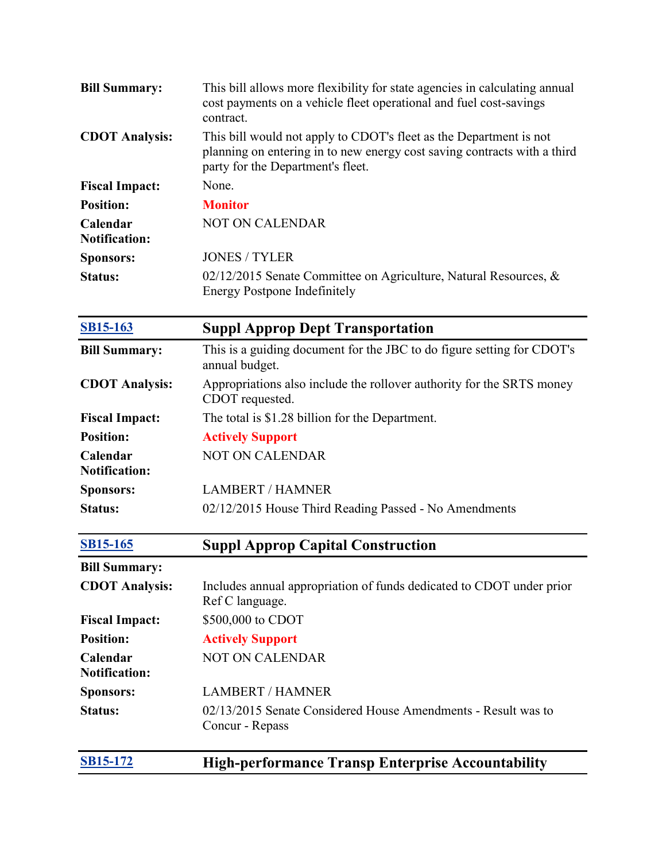| <b>Bill Summary:</b>             | This bill allows more flexibility for state agencies in calculating annual<br>cost payments on a vehicle fleet operational and fuel cost-savings<br>contract.                       |
|----------------------------------|-------------------------------------------------------------------------------------------------------------------------------------------------------------------------------------|
| <b>CDOT Analysis:</b>            | This bill would not apply to CDOT's fleet as the Department is not<br>planning on entering in to new energy cost saving contracts with a third<br>party for the Department's fleet. |
| <b>Fiscal Impact:</b>            | None.                                                                                                                                                                               |
| <b>Position:</b>                 | <b>Monitor</b>                                                                                                                                                                      |
| Calendar<br><b>Notification:</b> | <b>NOT ON CALENDAR</b>                                                                                                                                                              |
| <b>Sponsors:</b>                 | <b>JONES / TYLER</b>                                                                                                                                                                |
| <b>Status:</b>                   | $02/12/2015$ Senate Committee on Agriculture, Natural Resources, &<br><b>Energy Postpone Indefinitely</b>                                                                           |
| <b>SB15-163</b>                  | <b>Suppl Approp Dept Transportation</b>                                                                                                                                             |
| <b>Bill Summary:</b>             | This is a guiding document for the JBC to do figure setting for CDOT's<br>annual budget.                                                                                            |
| <b>CDOT Analysis:</b>            | Appropriations also include the rollover authority for the SRTS money<br>CDOT requested.                                                                                            |
| <b>Fiscal Impact:</b>            | The total is \$1.28 billion for the Department.                                                                                                                                     |
| <b>Position:</b>                 | <b>Actively Support</b>                                                                                                                                                             |
| Calendar<br><b>Notification:</b> | <b>NOT ON CALENDAR</b>                                                                                                                                                              |
| <b>Sponsors:</b>                 | <b>LAMBERT / HAMNER</b>                                                                                                                                                             |
| <b>Status:</b>                   | 02/12/2015 House Third Reading Passed - No Amendments                                                                                                                               |
| <b>SB15-165</b>                  | <b>Suppl Approp Capital Construction</b>                                                                                                                                            |
| <b>Bill Summary:</b>             |                                                                                                                                                                                     |
| <b>CDOT Analysis:</b>            | Includes annual appropriation of funds dedicated to CDOT under prior<br>Ref C language.                                                                                             |
| <b>Fiscal Impact:</b>            | \$500,000 to CDOT                                                                                                                                                                   |
| <b>Position:</b>                 | <b>Actively Support</b>                                                                                                                                                             |
| Calendar<br><b>Notification:</b> | <b>NOT ON CALENDAR</b>                                                                                                                                                              |
| <b>Sponsors:</b>                 | <b>LAMBERT / HAMNER</b>                                                                                                                                                             |
| <b>Status:</b>                   | 02/13/2015 Senate Considered House Amendments - Result was to<br>Concur - Repass                                                                                                    |
| <b>SB15-172</b>                  | <b>High-performance Transp Enterprise Accountability</b>                                                                                                                            |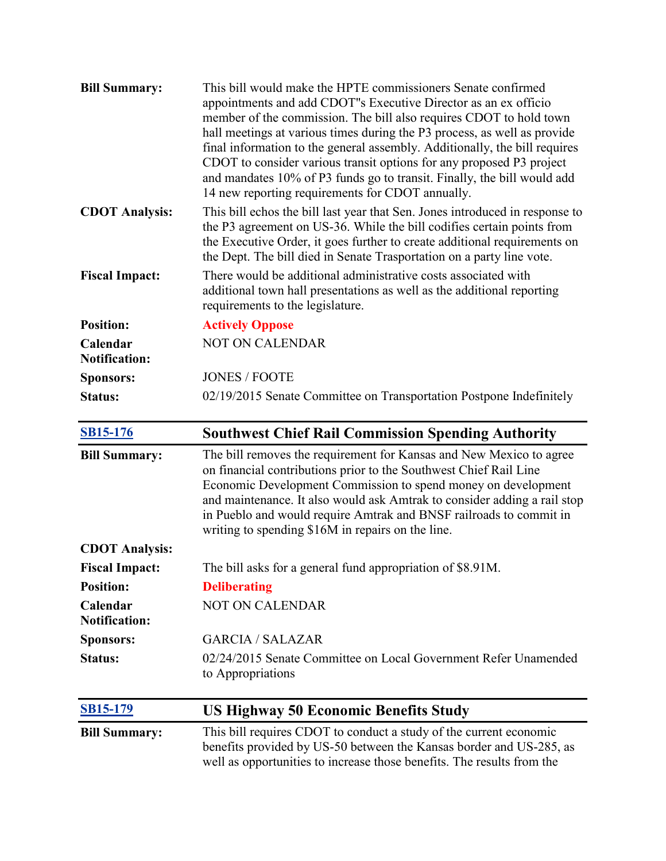| <b>Bill Summary:</b>             | This bill would make the HPTE commissioners Senate confirmed<br>appointments and add CDOT"s Executive Director as an ex officio<br>member of the commission. The bill also requires CDOT to hold town<br>hall meetings at various times during the P3 process, as well as provide<br>final information to the general assembly. Additionally, the bill requires<br>CDOT to consider various transit options for any proposed P3 project<br>and mandates 10% of P3 funds go to transit. Finally, the bill would add<br>14 new reporting requirements for CDOT annually. |
|----------------------------------|------------------------------------------------------------------------------------------------------------------------------------------------------------------------------------------------------------------------------------------------------------------------------------------------------------------------------------------------------------------------------------------------------------------------------------------------------------------------------------------------------------------------------------------------------------------------|
| <b>CDOT Analysis:</b>            | This bill echos the bill last year that Sen. Jones introduced in response to<br>the P3 agreement on US-36. While the bill codifies certain points from<br>the Executive Order, it goes further to create additional requirements on<br>the Dept. The bill died in Senate Trasportation on a party line vote.                                                                                                                                                                                                                                                           |
| <b>Fiscal Impact:</b>            | There would be additional administrative costs associated with<br>additional town hall presentations as well as the additional reporting<br>requirements to the legislature.                                                                                                                                                                                                                                                                                                                                                                                           |
| <b>Position:</b>                 | <b>Actively Oppose</b>                                                                                                                                                                                                                                                                                                                                                                                                                                                                                                                                                 |
| Calendar<br><b>Notification:</b> | <b>NOT ON CALENDAR</b>                                                                                                                                                                                                                                                                                                                                                                                                                                                                                                                                                 |
| <b>Sponsors:</b>                 | <b>JONES / FOOTE</b>                                                                                                                                                                                                                                                                                                                                                                                                                                                                                                                                                   |
| <b>Status:</b>                   | 02/19/2015 Senate Committee on Transportation Postpone Indefinitely                                                                                                                                                                                                                                                                                                                                                                                                                                                                                                    |
| <b>SB15-176</b>                  | <b>Southwest Chief Rail Commission Spending Authority</b>                                                                                                                                                                                                                                                                                                                                                                                                                                                                                                              |
|                                  |                                                                                                                                                                                                                                                                                                                                                                                                                                                                                                                                                                        |
| <b>Bill Summary:</b>             | The bill removes the requirement for Kansas and New Mexico to agree<br>on financial contributions prior to the Southwest Chief Rail Line<br>Economic Development Commission to spend money on development<br>and maintenance. It also would ask Amtrak to consider adding a rail stop<br>in Pueblo and would require Amtrak and BNSF railroads to commit in<br>writing to spending \$16M in repairs on the line.                                                                                                                                                       |
| <b>CDOT Analysis:</b>            |                                                                                                                                                                                                                                                                                                                                                                                                                                                                                                                                                                        |
| <b>Fiscal Impact:</b>            | The bill asks for a general fund appropriation of \$8.91M.                                                                                                                                                                                                                                                                                                                                                                                                                                                                                                             |
| <b>Position:</b>                 | <b>Deliberating</b>                                                                                                                                                                                                                                                                                                                                                                                                                                                                                                                                                    |
| Calendar<br><b>Notification:</b> | NOT ON CALENDAR                                                                                                                                                                                                                                                                                                                                                                                                                                                                                                                                                        |
| <b>Sponsors:</b>                 | <b>GARCIA / SALAZAR</b>                                                                                                                                                                                                                                                                                                                                                                                                                                                                                                                                                |
| Status:                          | 02/24/2015 Senate Committee on Local Government Refer Unamended<br>to Appropriations                                                                                                                                                                                                                                                                                                                                                                                                                                                                                   |
| <b>SB15-179</b>                  | <b>US Highway 50 Economic Benefits Study</b>                                                                                                                                                                                                                                                                                                                                                                                                                                                                                                                           |